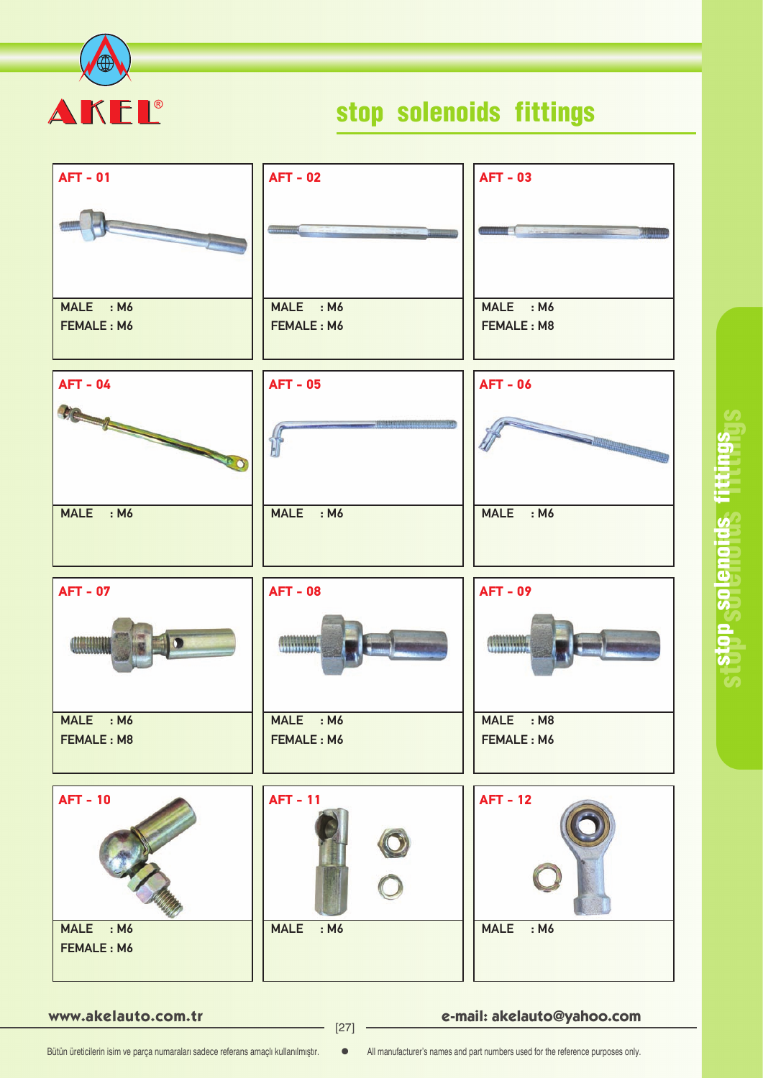

# stop solenoids fittings

| <b>AFT - 01</b>                            | <b>AFT - 02</b>                        | <b>AFT - 03</b>                                                                                               |
|--------------------------------------------|----------------------------------------|---------------------------------------------------------------------------------------------------------------|
|                                            |                                        | <b>Communication</b><br>an mana                                                                               |
| MALE : M6                                  | MALE : M6                              | MALE : M6                                                                                                     |
| <b>FEMALE: M6</b>                          | <b>FEMALE: M6</b>                      | <b>FEMALE: M8</b>                                                                                             |
| <b>AFT - 04</b>                            | <b>AFT - 05</b>                        | <b>AFT - 06</b>                                                                                               |
| SIGNER COMMENCION                          |                                        | a Maria Alemania de Santo de Santo de Santo de Santo de Santo de Santo de Santo de Santo de Santo de Santo de |
| MALE : M6                                  | MALE : M6                              | MALE : M6                                                                                                     |
| <b>AFT - 07</b>                            | <b>AFT - 08</b>                        | <b>AFT - 09</b>                                                                                               |
| <b>Concerte de la Ca</b>                   | <b>WINDOWS</b>                         |                                                                                                               |
| MALE : M6                                  | MALE : M6                              | MALE : M8                                                                                                     |
| FEMALE: M8                                 | FEMALE: M6                             | FEMALE: M6                                                                                                    |
| <b>AFT - 10</b><br>MALE : M6<br>FEMALE: M6 | <b>AFT - 11</b><br><b>MALE</b><br>: M6 | <b>AFT - 12</b><br><b>MALE</b><br>: M6                                                                        |
|                                            |                                        |                                                                                                               |

**www.akelauto.com.tr e-mail: akelauto@yahoo.com** [27]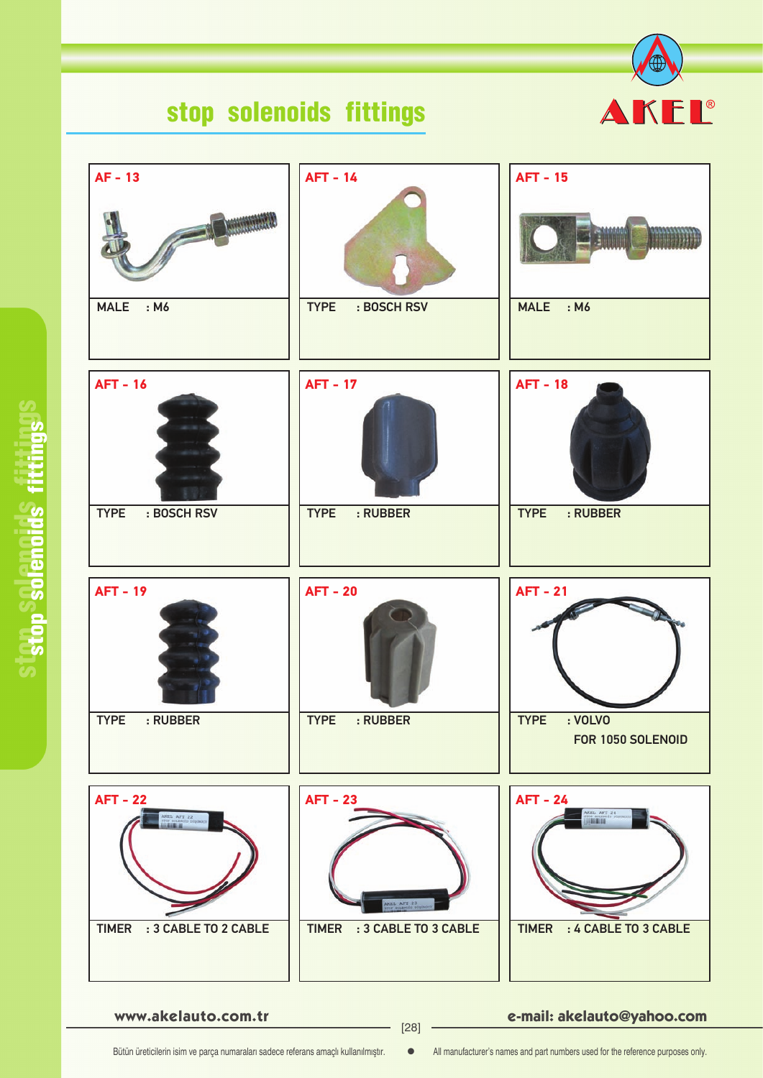# stop solenoids fittings





#### **www.akelauto.com.tr e-mail: akelauto@yahoo.com** [28]